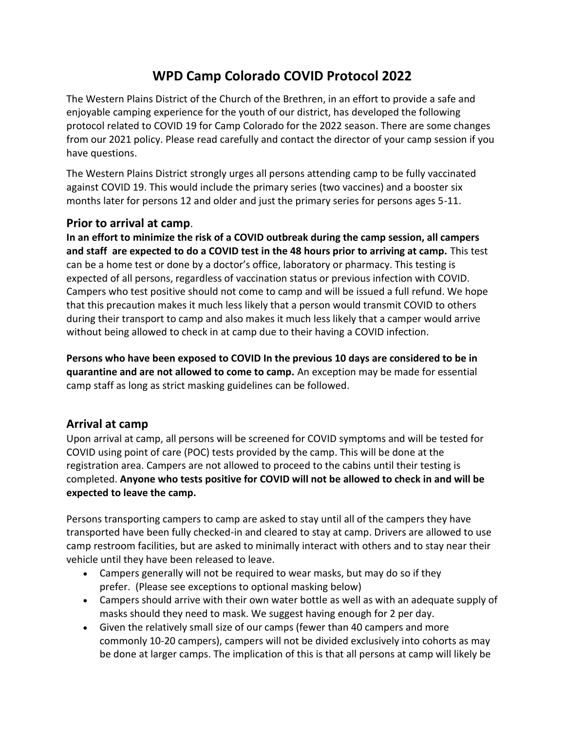# **WPD Camp Colorado COVID Protocol 2022**

The Western Plains District of the Church of the Brethren, in an effort to provide a safe and enjoyable camping experience for the youth of our district, has developed the following protocol related to COVID 19 for Camp Colorado for the 2022 season. There are some changes from our 2021 policy. Please read carefully and contact the director of your camp session if you have questions.

The Western Plains District strongly urges all persons attending camp to be fully vaccinated against COVID 19. This would include the primary series (two vaccines) and a booster six months later for persons 12 and older and just the primary series for persons ages 5-11.

### **Prior to arrival at camp**.

**In an effort to minimize the risk of a COVID outbreak during the camp session, all campers and staff are expected to do a COVID test in the 48 hours prior to arriving at camp.** This test can be a home test or done by a doctor's office, laboratory or pharmacy. This testing is expected of all persons, regardless of vaccination status or previous infection with COVID. Campers who test positive should not come to camp and will be issued a full refund. We hope that this precaution makes it much less likely that a person would transmit COVID to others during their transport to camp and also makes it much less likely that a camper would arrive without being allowed to check in at camp due to their having a COVID infection.

**Persons who have been exposed to COVID In the previous 10 days are considered to be in quarantine and are not allowed to come to camp.** An exception may be made for essential camp staff as long as strict masking guidelines can be followed.

### **Arrival at camp**

Upon arrival at camp, all persons will be screened for COVID symptoms and will be tested for COVID using point of care (POC) tests provided by the camp. This will be done at the registration area. Campers are not allowed to proceed to the cabins until their testing is completed. **Anyone who tests positive for COVID will not be allowed to check in and will be expected to leave the camp.**

Persons transporting campers to camp are asked to stay until all of the campers they have transported have been fully checked-in and cleared to stay at camp. Drivers are allowed to use camp restroom facilities, but are asked to minimally interact with others and to stay near their vehicle until they have been released to leave.

- Campers generally will not be required to wear masks, but may do so if they prefer. (Please see exceptions to optional masking below)
- Campers should arrive with their own water bottle as well as with an adequate supply of masks should they need to mask. We suggest having enough for 2 per day.
- Given the relatively small size of our camps (fewer than 40 campers and more commonly 10-20 campers), campers will not be divided exclusively into cohorts as may be done at larger camps. The implication of this is that all persons at camp will likely be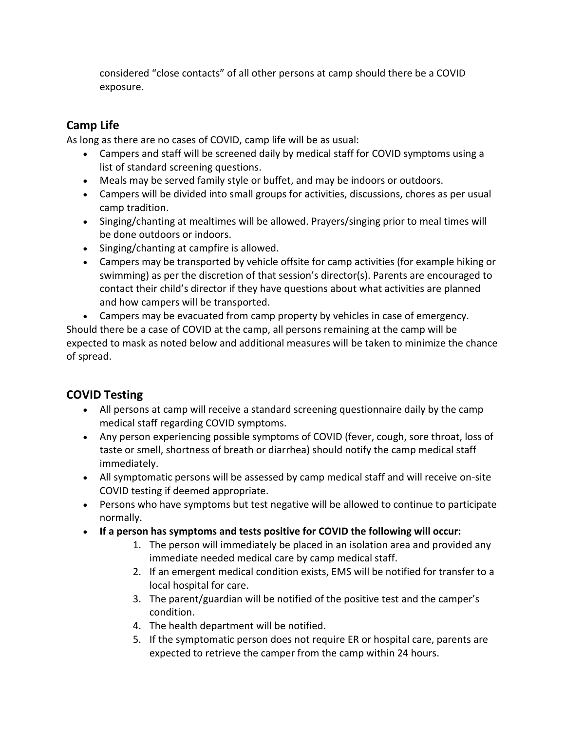considered "close contacts" of all other persons at camp should there be a COVID exposure.

# **Camp Life**

As long as there are no cases of COVID, camp life will be as usual:

- Campers and staff will be screened daily by medical staff for COVID symptoms using a list of standard screening questions.
- Meals may be served family style or buffet, and may be indoors or outdoors.
- Campers will be divided into small groups for activities, discussions, chores as per usual camp tradition.
- Singing/chanting at mealtimes will be allowed. Prayers/singing prior to meal times will be done outdoors or indoors.
- Singing/chanting at campfire is allowed.
- Campers may be transported by vehicle offsite for camp activities (for example hiking or swimming) as per the discretion of that session's director(s). Parents are encouraged to contact their child's director if they have questions about what activities are planned and how campers will be transported.
- Campers may be evacuated from camp property by vehicles in case of emergency. Should there be a case of COVID at the camp, all persons remaining at the camp will be expected to mask as noted below and additional measures will be taken to minimize the chance of spread.

# **COVID Testing**

- All persons at camp will receive a standard screening questionnaire daily by the camp medical staff regarding COVID symptoms.
- Any person experiencing possible symptoms of COVID (fever, cough, sore throat, loss of taste or smell, shortness of breath or diarrhea) should notify the camp medical staff immediately.
- All symptomatic persons will be assessed by camp medical staff and will receive on-site COVID testing if deemed appropriate.
- Persons who have symptoms but test negative will be allowed to continue to participate normally.
- **If a person has symptoms and tests positive for COVID the following will occur:**
	- 1. The person will immediately be placed in an isolation area and provided any immediate needed medical care by camp medical staff.
	- 2. If an emergent medical condition exists, EMS will be notified for transfer to a local hospital for care.
	- 3. The parent/guardian will be notified of the positive test and the camper's condition.
	- 4. The health department will be notified.
	- 5. If the symptomatic person does not require ER or hospital care, parents are expected to retrieve the camper from the camp within 24 hours.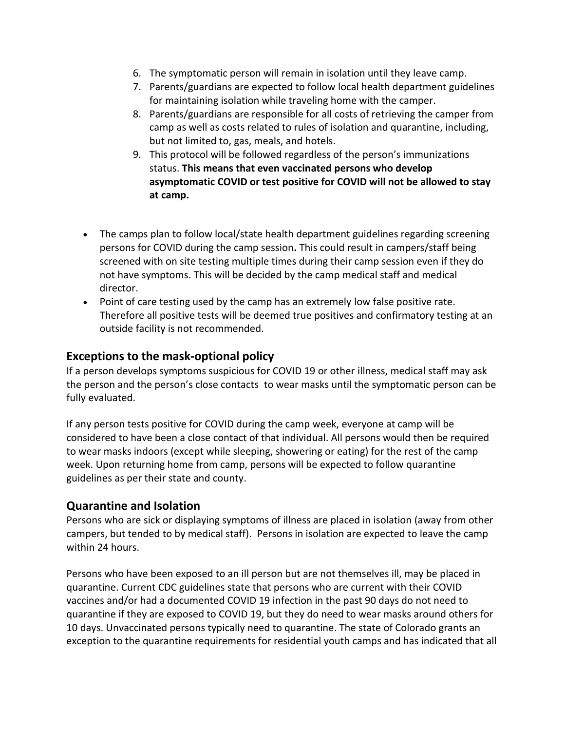- 6. The symptomatic person will remain in isolation until they leave camp.
- 7. Parents/guardians are expected to follow local health department guidelines for maintaining isolation while traveling home with the camper.
- 8. Parents/guardians are responsible for all costs of retrieving the camper from camp as well as costs related to rules of isolation and quarantine, including, but not limited to, gas, meals, and hotels.
- 9. This protocol will be followed regardless of the person's immunizations status. **This means that even vaccinated persons who develop asymptomatic COVID or test positive for COVID will not be allowed to stay at camp.**
- The camps plan to follow local/state health department guidelines regarding screening persons for COVID during the camp session**.** This could result in campers/staff being screened with on site testing multiple times during their camp session even if they do not have symptoms. This will be decided by the camp medical staff and medical director.
- Point of care testing used by the camp has an extremely low false positive rate. Therefore all positive tests will be deemed true positives and confirmatory testing at an outside facility is not recommended.

### **Exceptions to the mask-optional policy**

If a person develops symptoms suspicious for COVID 19 or other illness, medical staff may ask the person and the person's close contacts to wear masks until the symptomatic person can be fully evaluated.

If any person tests positive for COVID during the camp week, everyone at camp will be considered to have been a close contact of that individual. All persons would then be required to wear masks indoors (except while sleeping, showering or eating) for the rest of the camp week. Upon returning home from camp, persons will be expected to follow quarantine guidelines as per their state and county.

### **Quarantine and Isolation**

Persons who are sick or displaying symptoms of illness are placed in isolation (away from other campers, but tended to by medical staff). Persons in isolation are expected to leave the camp within 24 hours.

Persons who have been exposed to an ill person but are not themselves ill, may be placed in quarantine. Current CDC guidelines state that persons who are current with their COVID vaccines and/or had a documented COVID 19 infection in the past 90 days do not need to quarantine if they are exposed to COVID 19, but they do need to wear masks around others for 10 days. Unvaccinated persons typically need to quarantine. The state of Colorado grants an exception to the quarantine requirements for residential youth camps and has indicated that all